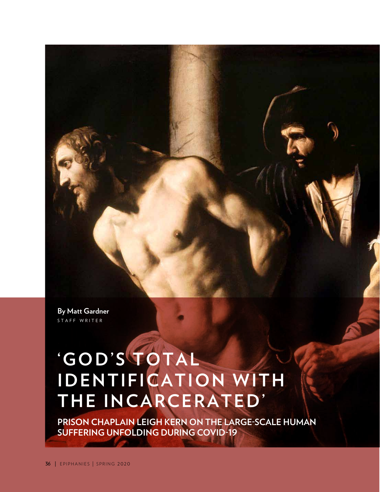**By Matt Gardner**  STAFF WRITER

# **' G O D ' S T O T A L I D E N T I F I C A T I O N W I T H**  THE INCARCERATED'

**PRISON CHAPLAIN LEIGH KERN ON THE LARGE-SCALE HUMAN SUFFERING UNFOLDING DURING COVID-19**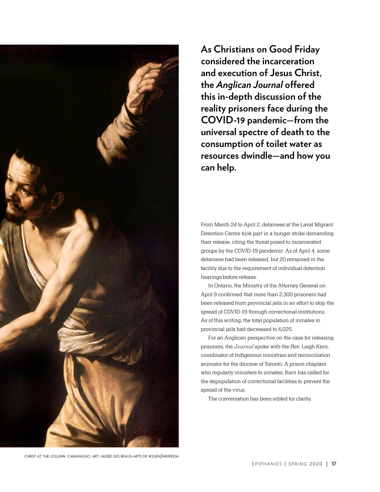

**As Christians on Good Friday considered the incarceration and execution of Jesus Christ, the** *Anglican Journal* **offered this in-depth discussion of the reality prisoners face during the COVID-19 pandemic—from the universal spectre of death to the consumption of toilet water as resources dwindle—and how you can help.**

From March 24 to April 2, detainees at the Laval Migrant Detention Centre took part in a hunger strike demanding their release, citing the threat posed to incarcerated groups by the COVID-19 pandemic. As of April 4, some detainees had been released, but 20 remained in the facility due to the requirement of individual detention hearings before release.

In Ontario, the Ministry of the Attorney General on April 9 confirmed that more than 2,300 prisoners had been released from provincial jails in an effort to stop the spread of COVID-19 through correctional institutions. As of this writing, the total population of inmates in provincial jails had decreased to 6,025.

For an Anglican perspective on the case for releasing prisoners, the *Journal* spoke with the Rev. Leigh Kern, coordinator of Indigenous ministries and reconciliation animator for the diocese of Toronto. A prison chaplain who regularly ministers to inmates, Kern has called for the depopulation of correctional facilities to prevent the spread of the virus.

The conversation has been edited for clarity.

christ at the column, caravaggio. art: musée des beaux-arts de rouen/wikipedia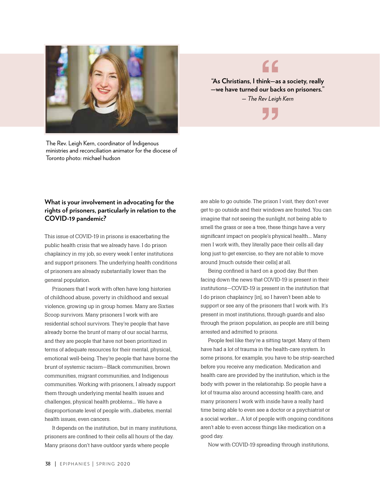

The Rev. Leigh Kern, coordinator of Indigenous ministries and reconciliation animator for the diocese of Toronto photo: michael hudson

# "

**"As Christians, I think—as a society, really —we have turned our backs on prisoners."** *— The Rev Leigh Kern* **"** 

## **What is your involvement in advocating for the rights of prisoners, particularly in relation to the COVID-19 pandemic?**

This issue of COVID-19 in prisons is exacerbating the public health crisis that we already have. I do prison chaplaincy in my job, so every week I enter institutions and support prisoners. The underlying health conditions of prisoners are already substantially lower than the general population.

Prisoners that I work with often have long histories of childhood abuse, poverty in childhood and sexual violence, growing up in group homes. Many are Sixties Scoop survivors. Many prisoners I work with are residential school survivors. They're people that have already borne the brunt of many of our social harms, and they are people that have not been prioritized in terms of adequate resources for their mental, physical, emotional well-being. They're people that have borne the brunt of systemic racism—Black communities, brown communities, migrant communities, and Indigenous communities. Working with prisoners, I already support them through underlying mental health issues and challenges, physical health problems…. We have a disproportionate level of people with…diabetes, mental health issues, even cancers.

It depends on the institution, but in many institutions, prisoners are confined to their cells all hours of the day. Many prisons don't have outdoor yards where people

are able to go outside. The prison I visit, they don't ever get to go outside and their windows are frosted. You can imagine that not seeing the sunlight, not being able to smell the grass or see a tree, these things have a very significant impact on people's physical health…. Many men I work with, they literally pace their cells all day long just to get exercise, so they are not able to move around [much outside their cells] at all.

Being confined is hard on a good day. But then facing down the news that COVID-19 is present in their institutions—COVID-19 is present in the institution that I do prison chaplaincy [in], so I haven't been able to support or see any of the prisoners that I work with. It's present in most institutions, through guards and also through the prison population, as people are still being arrested and admitted to prisons.

People feel like they're a sitting target. Many of them have had a lot of trauma in the health-care system. In some prisons, for example, you have to be strip-searched before you receive any medication. Medication and health care are provided by the institution, which is the body with power in the relationship. So people have a lot of trauma also around accessing health care, and many prisoners I work with inside have a really hard time being able to even see a doctor or a psychiatrist or a social worker…. A lot of people with ongoing conditions aren't able to even access things like medication on a good day.

Now with COVID-19 spreading through institutions,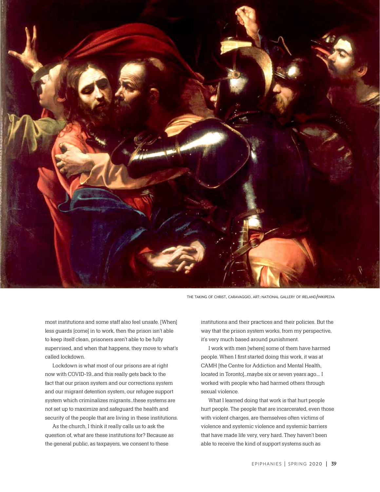

the taking of christ, caravaggio. art: national gallery of ireland/wikipedia

most institutions and some staff also feel unsafe. [When] less guards [come] in to work, then the prison isn't able to keep itself clean, prisoners aren't able to be fully supervised, and when that happens, they move to what's called lockdown.

Lockdown is what most of our prisons are at right now with COVID-19…and this really gets back to the fact that our prison system and our corrections system and our migrant detention system, our refugee support system which criminalizes migrants…these systems are not set up to maximize and safeguard the health and security of the people that are living in these institutions.

As the church, I think it really calls us to ask the question of, what are these institutions for? Because as the general public, as taxpayers, we consent to these

institutions and their practices and their policies. But the way that the prison system works, from my perspective, it's very much based around punishment.

I work with men [where] some of them have harmed people. When I first started doing this work, it was at CAMH [the Centre for Addiction and Mental Health, located in Toronto]…maybe six or seven years ago…. I worked with people who had harmed others through sexual violence.

What I learned doing that work is that hurt people hurt people. The people that are incarcerated, even those with violent charges, are themselves often victims of violence and systemic violence and systemic barriers that have made life very, very hard. They haven't been able to receive the kind of support systems such as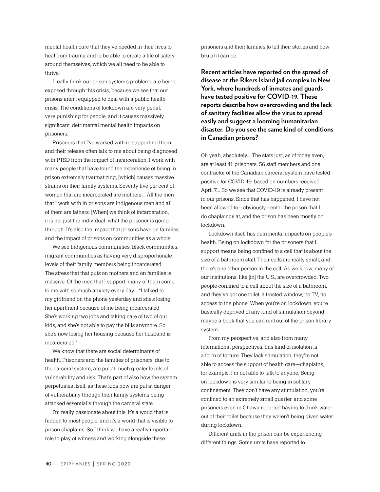mental health care that they've needed in their lives to heal from trauma and to be able to create a life of safety around themselves, which we all need to be able to thrive.

I really think our prison system's problems are being exposed through this crisis, because we see that our prisons aren't equipped to deal with a public health crisis. The conditions of lockdown are very penal, very punishing for people, and it causes massively significant, detrimental mental health impacts on prisoners.

Prisoners that I've worked with in supporting them and their release often talk to me about being diagnosed with PTSD from the impact of incarceration. I work with many people that have found the experience of being in prison extremely traumatizing, [which] causes massive strains on their family systems. Seventy-five per cent of women that are incarcerated are mothers…. All the men that I work with in prisons are Indigenous men and all of them are fathers. [When] we think of incarceration, it is not just the individual, what the prisoner is going through. It's also the impact that prisons have on families and the impact of prisons on communities as a whole.

We see Indigenous communities, black communities, migrant communities as having very disproportionate levels of their family members being incarcerated. The stress that that puts on mothers and on families is massive. Of the men that I support, many of them come to me with so much anxiety every day…. "I talked to my girlfriend on the phone yesterday and she's losing her apartment because of me being incarcerated. She's working two jobs and taking care of two of our kids, and she's not able to pay the bills anymore. So she's now losing her housing because her husband is incarcerated."

We know that there are social determinants of health. Prisoners and the families of prisoners, due to the carceral system, are put at much greater levels of vulnerability and risk. That's part of also how the system perpetuates itself, as these kids now are put at danger of vulnerability through their family systems being attacked essentially through the carceral state.

I'm really passionate about this. It's a world that is hidden to most people, and it's a world that is visible to prison chaplains. So I think we have a really important role to play of witness and working alongside these

prisoners and their families to tell their stories and how brutal it can be.

**Recent articles have reported on the spread of disease at the Rikers Island jail complex in New York, where hundreds of inmates and guards have tested positive for COVID-19. These reports describe how overcrowding and the lack of sanitary facilities allow the virus to spread easily and suggest a looming humanitarian disaster. Do you see the same kind of conditions in Canadian prisons?**

Oh yeah, absolutely…. The stats just, as of today even, are at least 41 prisoners, 56 staff members and one contractor of the Canadian carceral system have tested positive for COVID-19, based on numbers received April 7…. So we see that COVID-19 is already present in our prisons. Since that has happened, I have not been allowed to—obviously—enter the prison that I do chaplaincy at, and the prison has been mostly on lockdown.

Lockdown itself has detrimental impacts on people's health. Being on lockdown for the prisoners that I support means being confined to a cell that is about the size of a bathroom stall. Their cells are really small, and there's one other person in the cell. As we know, many of our institutions, like [in] the U.S., are overcrowded. Two people confined to a cell about the size of a bathroom, and they've got one toilet, a frosted window, no TV, no access to the phone. When you're on lockdown, you're basically deprived of any kind of stimulation beyond maybe a book that you can rent out of the prison library system.

From my perspective, and also from many international perspectives, this kind of isolation is a form of torture. They lack stimulation, they're not able to access the support of health care—chaplains, for example. I'm not able to talk to anyone. Being on lockdown is very similar to being in solitary confinement. They don't have any stimulation, you're confined to an extremely small quarter, and some prisoners even in Ottawa reported having to drink water out of their toilet because they weren't being given water during lockdown.

Different units in the prison can be experiencing different things. Some units have reported to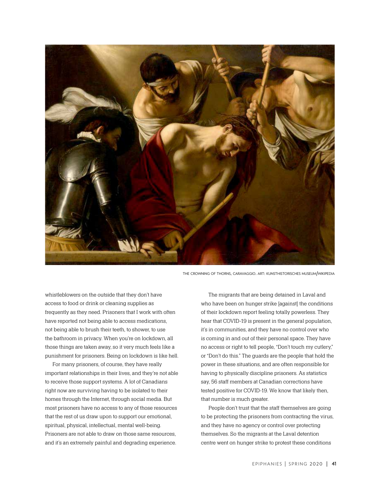

the crowning of thorns, caravaggio. art: kunsthistorisches museum/wikipedia

whistleblowers on the outside that they don't have access to food or drink or cleaning supplies as frequently as they need. Prisoners that I work with often have reported not being able to access medications, not being able to brush their teeth, to shower, to use the bathroom in privacy. When you're on lockdown, all those things are taken away, so it very much feels like a punishment for prisoners. Being on lockdown is like hell.

For many prisoners, of course, they have really important relationships in their lives, and they're not able to receive those support systems. A lot of Canadians right now are surviving having to be isolated to their homes through the Internet, through social media. But most prisoners have no access to any of those resources that the rest of us draw upon to support our emotional, spiritual, physical, intellectual, mental well-being. Prisoners are not able to draw on those same resources, and it's an extremely painful and degrading experience.

The migrants that are being detained in Laval and who have been on hunger strike [against] the conditions of their lockdown report feeling totally powerless. They hear that COVID-19 is present in the general population, it's in communities, and they have no control over who is coming in and out of their personal space. They have no access or right to tell people, "Don't touch my cutlery," or "Don't do this." The guards are the people that hold the power in these situations, and are often responsible for having to physically discipline prisoners. As statistics say, 56 staff members at Canadian corrections have tested positive for COVID-19. We know that likely then, that number is much greater.

People don't trust that the staff themselves are going to be protecting the prisoners from contracting the virus, and they have no agency or control over protecting themselves. So the migrants at the Laval detention centre went on hunger strike to protest these conditions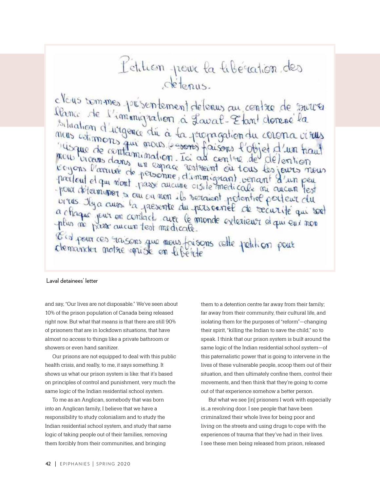# L'etition pour la libération des detenus.

claus sommes présentement délenus au contre de surver sidence de l'immigration à Louval-Etant donné la<br>situation d'urgence du à la propagation du cerena visus<br>neus estimons qui mous le sons faisons l'objet d'un haut<br>neu vicans dans un espace restreint où tous les jeurs neus<br>r pour déterminer sa ou on mon ils rétainent potentiel pour une les pour déterminer sa ou on mon ils rétainent potentiel pour eur du a chaque jeux en contacts avec le monde exterieur d'au eur non éla pour ces raisons que nous faisons relle petition pour

#### Laval detainees' letter

and say, "Our lives are not disposable." We've seen about 10% of the prison population of Canada being released right now. But what that means is that there are still 90% of prisoners that are in lockdown situations, that have almost no access to things like a private bathroom or showers or even hand sanitizer.

Our prisons are not equipped to deal with this public health crisis, and really, to me, it says something. It shows us what our prison system is like: that it's based on principles of control and punishment, very much the same logic of the Indian residential school system.

To me as an Anglican, somebody that was born into an Anglican family, I believe that we have a responsibility to study colonialism and to study the Indian residential school system, and study that same logic of taking people out of their families, removing them forcibly from their communities, and bringing

them to a detention centre far away from their family; far away from their community, their cultural life, and isolating them for the purposes of "reform"—changing their spirit, "killing the Indian to save the child," so to speak. I think that our prison system is built around the same logic of the Indian residential school system—of this paternalistic power that is going to intervene in the lives of these vulnerable people, scoop them out of their situation, and then ultimately confine them, control their movements, and then think that they're going to come out of that experience somehow a better person.

But what we see [in] prisoners I work with especially is…a revolving door. I see people that have been criminalized their whole lives for being poor and living on the streets and using drugs to cope with the experiences of trauma that they've had in their lives. I see these men being released from prison, released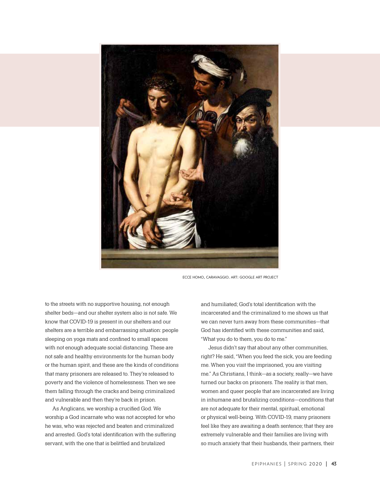

ecce homo, caravaggio. art: google art project

to the streets with no supportive housing, not enough shelter beds—and our shelter system also is not safe. We know that COVID-19 is present in our shelters and our shelters are a terrible and embarrassing situation: people sleeping on yoga mats and confined to small spaces with not enough adequate social distancing. These are not safe and healthy environments for the human body or the human spirit, and these are the kinds of conditions that many prisoners are released to. They're released to poverty and the violence of homelessness. Then we see them falling through the cracks and being criminalized and vulnerable and then they're back in prison.

As Anglicans, we worship a crucified God. We worship a God incarnate who was not accepted for who he was, who was rejected and beaten and criminalized and arrested. God's total identification with the suffering servant, with the one that is belittled and brutalized

and humiliated; God's total identification with the incarcerated and the criminalized to me shows us that we can never turn away from these communities—that God has identified with these communities and said, "What you do to them, you do to me."

Jesus didn't say that about any other communities, right? He said, "When you feed the sick, you are feeding me. When you visit the imprisoned, you are visiting me." As Christians, I think—as a society, really—we have turned our backs on prisoners. The reality is that men, women and queer people that are incarcerated are living in inhumane and brutalizing conditions—conditions that are not adequate for their mental, spiritual, emotional or physical well-being. With COVID-19, many prisoners feel like they are awaiting a death sentence; that they are extremely vulnerable and their families are living with so much anxiety that their husbands, their partners, their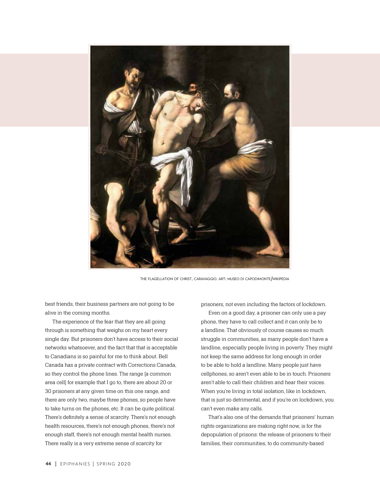

the flagellation of christ, caravaggio. art: museo di capodimonte/wikipedia

best friends, their business partners are not going to be alive in the coming months.

The experience of the fear that they are all going through is something that weighs on my heart every single day. But prisoners don't have access to their social networks whatsoever, and the fact that that is acceptable to Canadians is so painful for me to think about. Bell Canada has a private contract with Corrections Canada, so they control the phone lines. The range [a common area cell] for example that I go to, there are about 20 or 30 prisoners at any given time on this one range, and there are only two, maybe three phones, so people have to take turns on the phones, etc. It can be quite political. There's definitely a sense of scarcity. There's not enough health resources, there's not enough phones, there's not enough staff, there's not enough mental health nurses. There really is a very extreme sense of scarcity for

prisoners, not even including the factors of lockdown.

Even on a good day, a prisoner can only use a pay phone, they have to call collect and it can only be to a landline. That obviously of course causes so much struggle in communities, as many people don't have a landline, especially people living in poverty. They might not keep the same address for long enough in order to be able to hold a landline. Many people just have cellphones, so aren't even able to be in touch. Prisoners aren't able to call their children and hear their voices. When you're living in total isolation, like in lockdown, that is just so detrimental, and if you're on lockdown, you can't even make any calls.

That's also one of the demands that prisoners' human rights organizations are making right now, is for the depopulation of prisons: the release of prisoners to their families, their communities, to do community-based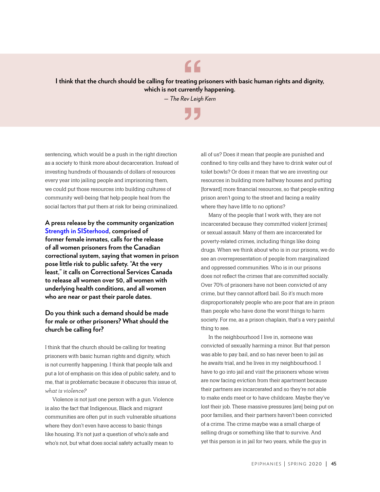**I think that the church should be calling for treating prisoners with basic human rights and dignity, which is not currently happening.**  *— The Rev Leigh Kern*

"

**"** 

sentencing, which would be a push in the right direction as a society to think more about decarceration. Instead of investing hundreds of thousands of dollars of resources every year into jailing people and imprisoning them, we could put those resources into building cultures of community well-being that help people heal from the social factors that put them at risk for being criminalized.

**A press release by the community organization [Strength in SISterhood](https://www.facebook.com/StrengthInSIS/photos/pcb.103993277936402/104365671232496/?type=3&theater), comprised of former female inmates, calls for the release of all women prisoners from the Canadian correctional system, saying that women in prison pose little risk to public safety. "At the very least," it calls on Correctional Services Canada to release all women over 50, all women with underlying health conditions, and all women who are near or past their parole dates.**

### **Do you think such a demand should be made for male or other prisoners? What should the church be calling for?**

I think that the church should be calling for treating prisoners with basic human rights and dignity, which is not currently happening. I think that people talk and put a lot of emphasis on this idea of public safety, and to me, that is problematic because it obscures this issue of, *what is violence?*

Violence is not just one person with a gun. Violence is also the fact that Indigenous, Black and migrant communities are often put in such vulnerable situations where they don't even have access to basic things like housing. It's not just a question of who's safe and who's not, but what does social safety actually mean to

all of us? Does it mean that people are punished and confined to tiny cells and they have to drink water out of toilet bowls? Or does it mean that we are investing our resources in building more halfway houses and putting [forward] more financial resources, so that people exiting prison aren't going to the street and facing a reality where they have little to no options?

Many of the people that I work with, they are not incarcerated because they committed violent [crimes] or sexual assault. Many of them are incarcerated for poverty-related crimes, including things like doing drugs. When we think about who is in our prisons, we do see an overrepresentation of people from marginalized and oppressed communities. Who is in our prisons does not reflect the crimes that are committed socially. Over 70% of prisoners have not been convicted of any crime, but they cannot afford bail. So it's much more disproportionately people who are poor that are in prison than people who have done the worst things to harm society. For me, as a prison chaplain, that's a very painful thing to see.

In the neighbourhood I live in, someone was convicted of sexually harming a minor. But that person was able to pay bail, and so has never been to jail as he awaits trial, and he lives in my neighbourhood. I have to go into jail and visit the prisoners whose wives are now facing eviction from their apartment because their partners are incarcerated and so they're not able to make ends meet or to have childcare. Maybe they've lost their job. These massive pressures [are] being put on poor families, and their partners haven't been convicted of a crime. The crime maybe was a small charge of selling drugs or something like that to survive. And yet this person is in jail for two years, while the guy in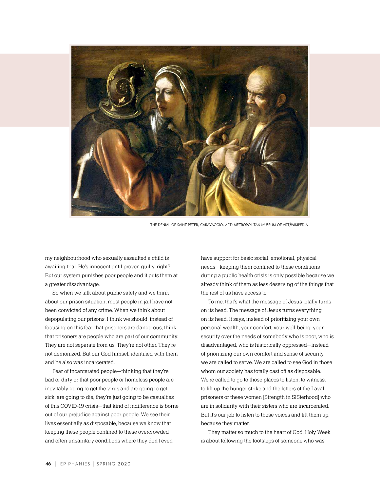

the denial of saint peter, caravaggio. art: metropolitan museum of art/wikipedia

my neighbourhood who sexually assaulted a child is awaiting trial. He's innocent until proven guilty, right? But our system punishes poor people and it puts them at a greater disadvantage.

So when we talk about public safety and we think about our prison situation, most people in jail have not been convicted of any crime. When we think about depopulating our prisons, I think we should, instead of focusing on this fear that prisoners are dangerous, think that prisoners are people who are part of our community. They are not separate from us. They're not other. They're not demonized. But our God himself identified with them and he also was incarcerated.

Fear of incarcerated people—thinking that they're bad or dirty or that poor people or homeless people are inevitably going to get the virus and are going to get sick, are going to die, they're just going to be casualties of this COVID-19 crisis—that kind of indifference is borne out of our prejudice against poor people. We see their lives essentially as disposable, because we know that keeping these people confined to these overcrowded and often unsanitary conditions where they don't even

have support for basic social, emotional, physical needs—keeping them confined to these conditions during a public health crisis is only possible because we already think of them as less deserving of the things that the rest of us have access to.

To me, that's what the message of Jesus totally turns on its head. The message of Jesus turns everything on its head. It says, instead of prioritizing your own personal wealth, your comfort, your well-being, your security over the needs of somebody who is poor, who is disadvantaged, who is historically oppressed—instead of prioritizing our own comfort and sense of security, we are called to serve. We are called to see God in those whom our society has totally cast off as disposable. We're called to go to those places to listen, to witness, to lift up the hunger strike and the letters of the Laval prisoners or these women [Strength in SISterhood] who are in solidarity with their sisters who are incarcerated. But it's our job to listen to those voices and lift them up, because they matter.

They matter so much to the heart of God. Holy Week is about following the footsteps of someone who was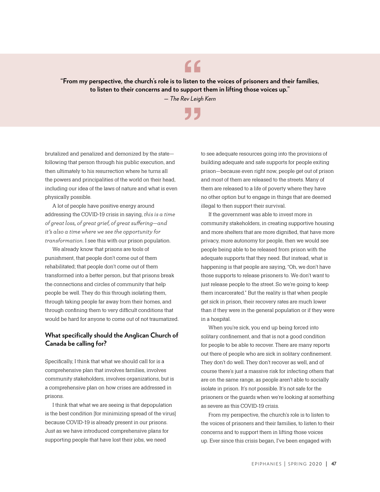**"From my perspective, the church's role is to listen to the voices of prisoners and their families, to listen to their concerns and to support them in lifting those voices up."** *— The Rev Leigh Kern*

**"** 

"

brutalized and penalized and demonized by the state following that person through his public execution, and then ultimately to his resurrection where he turns all the powers and principalities of the world on their head, including our idea of the laws of nature and what is even physically possible.

A lot of people have positive energy around addressing the COVID-19 crisis in saying, *this is a time of great loss, of great grief, of great suffering*—*and it's also a time where we see the opportunity for transformation*. I see this with our prison population.

We already know that prisons are tools of punishment, that people don't come out of them rehabilitated; that people don't come out of them transformed into a better person, but that prisons break the connections and circles of community that help people be well. They do this through isolating them, through taking people far away from their homes, and through confining them to very difficult conditions that would be hard for anyone to come out of not traumatized.

### **What specifically should the Anglican Church of Canada be calling for?**

Specifically, I think that what we should call for is a comprehensive plan that involves families, involves community stakeholders, involves organizations, but is a comprehensive plan on how crises are addressed in prisons.

I think that what we are seeing is that depopulation is the best condition [for minimizing spread of the virus] because COVID-19 is already present in our prisons. Just as we have introduced comprehensive plans for supporting people that have lost their jobs, we need

to see adequate resources going into the provisions of building adequate and safe supports for people exiting prison—because even right now, people get out of prison and most of them are released to the streets. Many of them are released to a life of poverty where they have no other option but to engage in things that are deemed illegal to then support their survival.

If the government was able to invest more in community stakeholders, in creating supportive housing and more shelters that are more dignified, that have more privacy, more autonomy for people, then we would see people being able to be released from prison with the adequate supports that they need. But instead, what is happening is that people are saying, "Oh, we don't have those supports to release prisoners to. We don't want to just release people to the street. So we're going to keep them incarcerated." But the reality is that when people get sick in prison, their recovery rates are much lower than if they were in the general population or if they were in a hospital.

When you're sick, you end up being forced into solitary confinement, and that is not a good condition for people to be able to recover. There are many reports out there of people who are sick in solitary confinement. They don't do well. They don't recover as well, and of course there's just a massive risk for infecting others that are on the same range, as people aren't able to socially isolate in prison. It's not possible. It's not safe for the prisoners or the guards when we're looking at something as severe as this COVID-19 crisis.

From my perspective, the church's role is to listen to the voices of prisoners and their families, to listen to their concerns and to support them in lifting those voices up. Ever since this crisis began, I've been engaged with